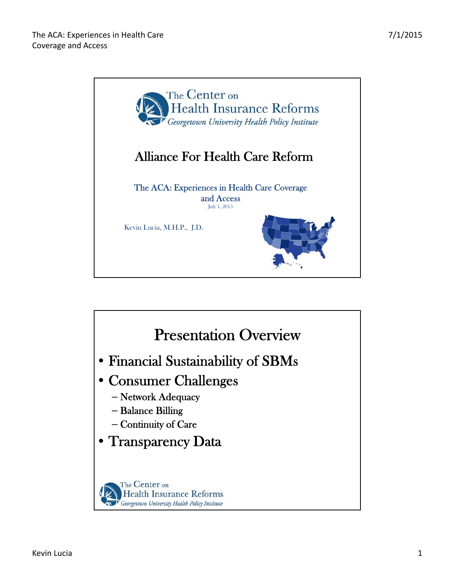

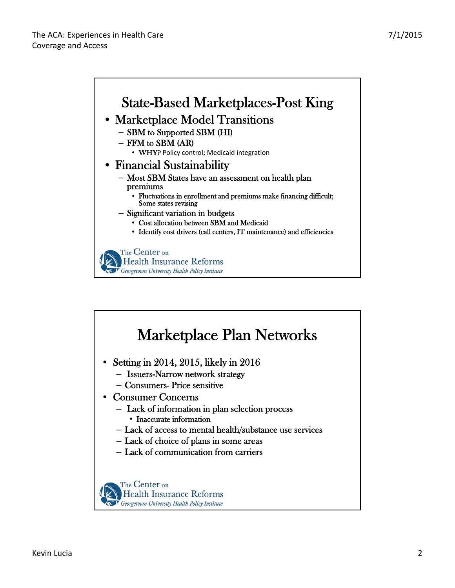

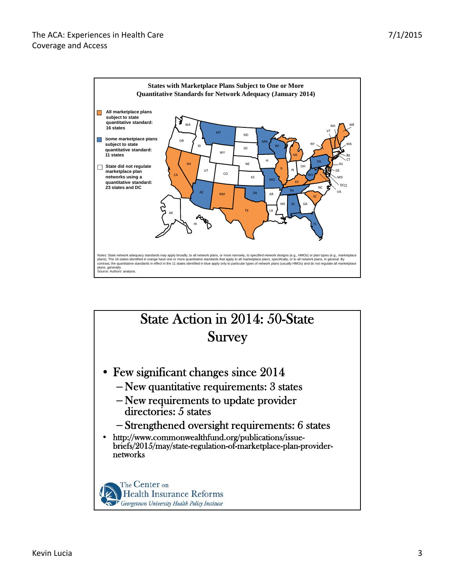

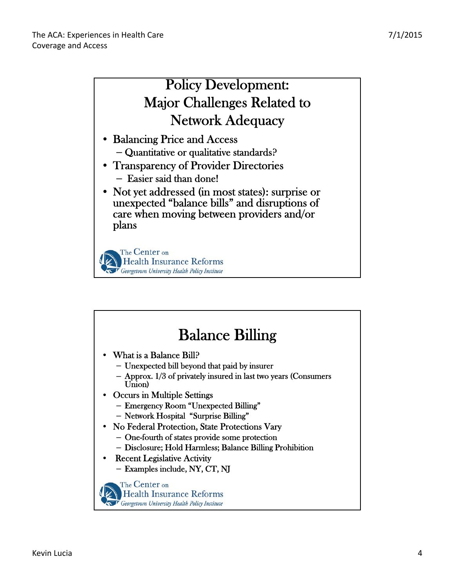

| <b>Balance Billing</b>                                                                                             |
|--------------------------------------------------------------------------------------------------------------------|
| • What is a Balance Bill?                                                                                          |
| - Unexpected bill beyond that paid by insurer<br>$-$ Approx. 1/3 of privately insured in last two years (Consumers |
| Union)<br>• Occurs in Multiple Settings                                                                            |
| - Emergency Room "Unexpected Billing"                                                                              |
| - Network Hospital "Surprise Billing"<br>• No Federal Protection, State Protections Vary                           |
| - One-fourth of states provide some protection                                                                     |
| - Disclosure; Hold Harmless; Balance Billing Prohibition                                                           |
| <b>Recent Legislative Activity</b><br>- Examples include, NY, CT, NJ                                               |
| The Center on<br><b>Health Insurance Reforms</b><br>Georgetown University Health Policy Institute                  |
|                                                                                                                    |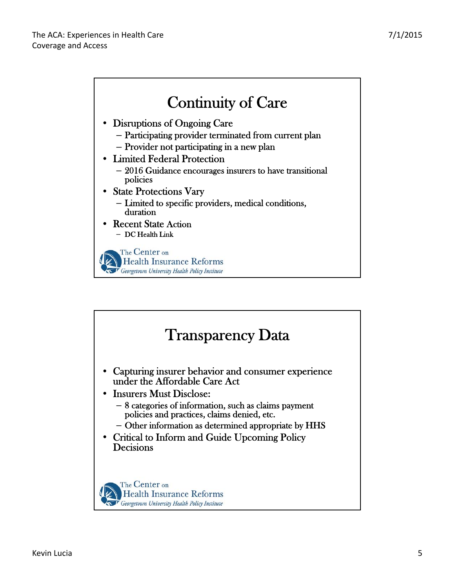